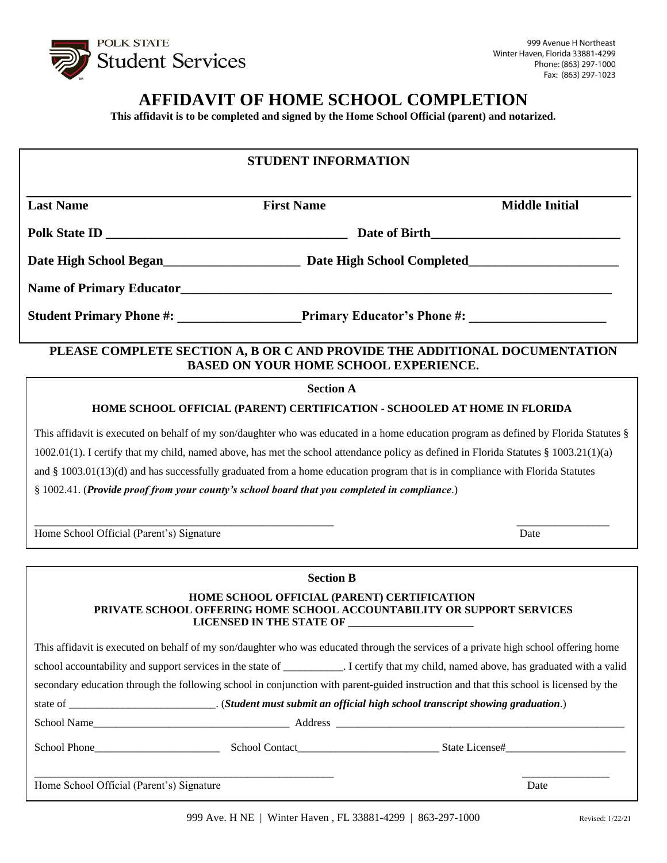

# **AFFIDAVIT OF HOME SCHOOL COMPLETION**

**This affidavit is to be completed and signed by the Home School Official (parent) and notarized.**

| <b>STUDENT INFORMATION</b>                                                                                                              |                                                                                              |                                                                                                                                                                                                                                                                           |
|-----------------------------------------------------------------------------------------------------------------------------------------|----------------------------------------------------------------------------------------------|---------------------------------------------------------------------------------------------------------------------------------------------------------------------------------------------------------------------------------------------------------------------------|
| <b>Last Name</b>                                                                                                                        | <b>First Name</b>                                                                            | <b>Middle Initial</b>                                                                                                                                                                                                                                                     |
|                                                                                                                                         |                                                                                              |                                                                                                                                                                                                                                                                           |
|                                                                                                                                         |                                                                                              |                                                                                                                                                                                                                                                                           |
|                                                                                                                                         |                                                                                              |                                                                                                                                                                                                                                                                           |
|                                                                                                                                         |                                                                                              |                                                                                                                                                                                                                                                                           |
| PLEASE COMPLETE SECTION A, B OR C AND PROVIDE THE ADDITIONAL DOCUMENTATION<br><b>BASED ON YOUR HOME SCHOOL EXPERIENCE.</b>              |                                                                                              |                                                                                                                                                                                                                                                                           |
|                                                                                                                                         | <b>Section A</b>                                                                             |                                                                                                                                                                                                                                                                           |
| HOME SCHOOL OFFICIAL (PARENT) CERTIFICATION - SCHOOLED AT HOME IN FLORIDA                                                               |                                                                                              |                                                                                                                                                                                                                                                                           |
|                                                                                                                                         | § 1002.41. (Provide proof from your county's school board that you completed in compliance.) | $1002.01(1)$ . I certify that my child, named above, has met the school attendance policy as defined in Florida Statutes § 1003.21(1)(a)<br>and § 1003.01(13)(d) and has successfully graduated from a home education program that is in compliance with Florida Statutes |
| Home School Official (Parent's) Signature                                                                                               |                                                                                              | Date                                                                                                                                                                                                                                                                      |
|                                                                                                                                         | <b>Section B</b>                                                                             |                                                                                                                                                                                                                                                                           |
|                                                                                                                                         | HOME SCHOOL OFFICIAL (PARENT) CERTIFICATION<br>LICENSED IN THE STATE OF                      | PRIVATE SCHOOL OFFERING HOME SCHOOL ACCOUNTABILITY OR SUPPORT SERVICES                                                                                                                                                                                                    |
| This affidavit is executed on behalf of my son/daughter who was educated through the services of a private high school offering home    |                                                                                              |                                                                                                                                                                                                                                                                           |
| school accountability and support services in the state of __________. I certify that my child, named above, has graduated with a valid |                                                                                              |                                                                                                                                                                                                                                                                           |
| secondary education through the following school in conjunction with parent-guided instruction and that this school is licensed by the  |                                                                                              |                                                                                                                                                                                                                                                                           |
|                                                                                                                                         |                                                                                              |                                                                                                                                                                                                                                                                           |
|                                                                                                                                         |                                                                                              |                                                                                                                                                                                                                                                                           |
|                                                                                                                                         |                                                                                              |                                                                                                                                                                                                                                                                           |
| Home School Official (Parent's) Signature                                                                                               |                                                                                              | Date                                                                                                                                                                                                                                                                      |